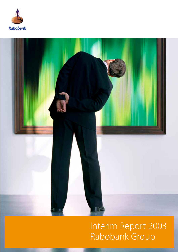



## Interim Report 2003 Rabobank Group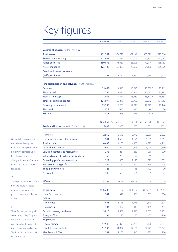## Key figures

|                                                   | 30-06-03 | $31 - 12 - 02$         | 30-06-02 | $31 - 12 - 01$         | 30-06-01   |
|---------------------------------------------------|----------|------------------------|----------|------------------------|------------|
| <b>Volume of services</b> (in EUR millions)       |          |                        |          |                        |            |
| <b>Total assets</b>                               | 402,367  | 374,720                | 377,149  | 363,679                | 377,816    |
|                                                   |          |                        |          |                        | 190,685    |
| Private sector lending                            | 221,688  | 212,323                | 202,105  | 197,262                |            |
| <b>Funds entrusted</b>                            | 180,878  | 171,632                | 166,326  | 172,174                | 165,452    |
| Assets managed <sup>1)</sup>                      | 175,100  | 168,000                | 170,900  | 194,400                | 195,200    |
| Premium income, insurance                         |          |                        |          |                        |            |
| (half-year figures)                               | 2,357    | 1,770                  | 1,890    | 1,714                  | 2,212      |
| Financial position and solvency (in EUR millions) |          |                        |          |                        |            |
| <b>Reserves</b>                                   | 15,469   | 14,911                 | 13,245   | 13,030 <sup>2</sup>    | 13,269     |
| <b>Tier I capital</b>                             | 17,755   | 17,071                 | 15,344   | 15,092 2)              | 15,185     |
| Tier I + Tier II capital                          | 18,076   | 17,414                 | 15,739   | $15,542^{2}$           | 15,557     |
| Total risk-adjusted capital                       | 174,977  | 165,843                | 152,700  | 152,812                | 151,852    |
| Solvency requirement                              | 13,998   | 13,268                 | 12,216   | 12,225                 | 12,148     |
| <b>Tier 1 ratio</b>                               | 10.2     | 10.3                   | 10.0     | 9.92                   | 10.0       |
| <b>BIS ratio</b>                                  | 10.3     | 10.5                   | 10.3     | 10.2 <sup>2</sup>      | 10.2       |
|                                                   |          |                        |          |                        |            |
|                                                   |          | First half Second half |          | First half Second half | First half |
| <b>Profit and loss account</b> (in EUR millions)  | 2003     | 2002                   | 2002     | 2001                   | 2001       |
| <b>Interest</b>                                   | 2,952    | 2,649                  | 2,742    | 2,580                  | 2,502      |
| Commission and other income                       | 1,541    | 1,553                  | 1,620    | 1,735                  | 1,617      |
| <b>Total income</b>                               | 4,493    | 4,202                  | 4,362    | 4,315                  | 4,119      |
| <b>Operating expenses</b>                         | 2,920    | 2,940                  | 2,899    | 3,075                  | 2,890      |
| Value adjustments to receivables                  | 275      | 237                    | 263      | 280                    | 200        |
| Value adjustments to financial fixed assets       | 69       | 225                    | 27       | 65                     | (6)        |
| Operating profit before taxation                  | 1,229    | 800                    | 1,173    | 895                    | 1,035      |
| Tax on operating profit                           | 356      | 154                    | 360      | 258                    | 274        |
| Third-party interests                             | 125      | 91                     | 118      | 102                    | 90         |
| Net profit                                        | 748      | 555                    | 695      | 535                    | 671        |
|                                                   |          |                        |          |                        |            |
| <b>Efficiency ratio</b>                           | 65.0%    | 70.0%                  | 66.5%    | 71.3%                  | 70.2%      |
| Other data                                        | 30-06-03 | $31 - 12 - 02$         | 30-06-02 | 31-12-01               | 30-06-01   |
| <b>Local Rabobanks</b>                            | 341      | 349                    | 361      | 369                    | 386        |
| Offices:                                          |          |                        |          |                        |            |
| - branches                                        | 1,445    | 1,516                  | 1,513    | 1,648                  | 1,674      |
| - agencies                                        | 384      | 402                    | 413      | 455                    | 492        |
| <b>Cash dispensing machines</b>                   | 3,010    | 2,979                  | 2,943    | 2,889                  | 2,781      |
| Foreign offices                                   | 194      | 193                    | 137      | 137                    | 140        |
| <b>Employees:</b>                                 |          |                        |          |                        |            |
| total number                                      | 57,548   | 58,096                 | 58,259   | 58,120                 | 57,017     |
| - full-time equivalents                           | 51,238   | 51,867                 | 52,186   | 52,173                 | 51,343     |
| Members (x 1,000)                                 | 1,241    | 1,108                  | 947      | 825                    | 700        |

General: due to consolidation effects, the figures relating to Group entities will not always correspond to Rabobank Group totals. Changes in terms of percentages can vary as a result of rounding.

1)

Owing to a change in definition, the figure for assets managed does not correspond to amounts published earlier.

#### 2)

The effect of the change in accounting policy for pensions as of 1 January 2002 is included in the computation of reserves and of the Tier I and BIS ratios as at 31 December 2001.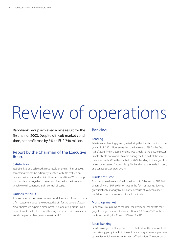# Review of operations

Rabobank Group achieved a nice result for the first half of 2003. Despite difficult market conditions, net profit rose by 8% to EUR 748 million.

#### Report by the Chairman of the Executive Board

#### **Satisfactory**

'Rabobank Group achieved a nice result for the first half of 2003, something we can be extremely satisfied with. We realised an increase in income under difficult market conditions. We also kept costs under control, which creates confidence for the future in which we will continue a tight control of costs.'

#### Outlook for 2003

'In the current uncertain economic conditions, it is difficult to make a firm statement about the expected profit for the whole of 2003. Nevertheless we expect a clear increase in operating profit. Given current stock market levels, and barring unforeseen circumstances, we also expect a clear growth in net profit.'

#### Banking

#### Lending

Private sector lending grew by 4% during the first six months of the year to EUR 222 billion, exceeding the increase of 2% for the first half of 2002. The increased lending was largely to the private sector. Private clients borrowed 7% more during the first half of the year, compared with 5% in the first half of 2002. Lending to the agricultural sector increased fractionally by 1%. Lending to the trade, industry and service sector grew by 3%.

#### Funds entrusted

Funds entrusted were up 5% in the first half of the year to EUR 181 billion, of which EUR 69 billion was in the form of savings. Savings grew relatively strongly by 4%, partly because of low consumer confidence and the weak stock market climate.

#### Mortgage market

Rabobank Group remains the clear market leader for private mortgage lending. The market share at 30 June 2003 was 25%, with local banks accounting for 21% and Obvion for 4%.

#### Retail banking

Retail banking's result improved in the first half of the year. We held costs steady, partly thanks to the efficiency programmes implemented earlier, which resulted in further staff reductions. The number of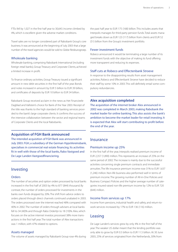FTEs fell by 1,027 in the first half year to 30,643. Income climbed by 4%, which is excellent given the adverse market conditions.

Travel sales are no longer considered part of Rabobank Group's core business. It was announced at the beginning of July 2003 that a large number of the travel agencies would be sold to Globe Reisburogroep.

#### Wholesale banking

Wholesale banking, comprising Rabobank International (including foreign retail banks), Group Treasury and Corporate Clients, achieved a limited increase in profit.

To finance ordinary activities, Group Treasury issued a significant amount in new debt securities in the first half of the year. Bonds and notes increased in amount by EUR 5 billion to EUR 39 billion, and certificates of deposits by EUR 10 billion to EUR 34 billion.

Rabobank Group received acclaim in the news as Het Financieele Dagblad and Vallstein's choice for Bank of the Year 2003. Receipt of the title was thanks to the high standard of banking services provided to the bank's large corporate clients. It confirms the success of the intensive collaboration between the sector and regional teams of Corporate Clients and the local Rabobanks.

#### **Acquisition of FGH Bank announced**

The intended acquisition of FGH Bank was announced in July 2003. FGH, a subsidiary of the German HypoVereinsbank, specialises in commercial real estate financing. Its activities fit in well with those of the local banks, Rabo Vastgoed and De Lage Landen Vastgoedfinanciering.

#### Investing

#### **Orders**

The number of securities and option orders processed by local banks increased in the first half of 2003 by 4% to 877 (844) thousand. By contrast, the number of orders processed for investments in the banks own funds dropped by 20%. The shift from advice orders to orders placed through direct channels continued unabated in 2003. The orders processed over the internet reached 48% compared with 40% in 2002. The number of orders through advisers at local banks fell to 34 (40)% and through Rabo Orderlijn to 18 (19)%. Alex, which focuses on the active internet investor, processed 38% more transactions in the first half year. The total number of Alex transactions was 1 million, with 47% related to options.

#### Assets managed

The volume of assets managed by Rabobank Group rose 4% during

the past half year to EUR 175 (168) billion. This includes assets that Interpolis manages for third-party pension funds. Total assets managed breaks down as EUR 123 (117) billion from clients and EUR 52 (51) billion from the Group's investment portfolio.

#### Fewer investment funds

Robeco announced it would be terminating a large number of its investment funds with the objective of making its fund offering more transparent and reducing its expenses.

#### Staff cuts at Robeco and Effectenbank Stroeve

In response to the disappointing results from asset management activities, Robeco and Effectenbank Stroeve have decided to reduce their staff by some 10% in 2003. This will definitely entail some compulsory redundancies.

#### **Alex acquisition completed**

The acquisition of the internet broker Alex announced in 2002 was completed in March 2003, making Rabobank the market leader for online banking. This also assists the bank's ambition to become the market leader for retail investing. It is expected that Alex will start contributing to profit before the end of the year.

#### **Insurance**

#### Premium income up 25%

In the first half of the year, Interpolis realised premium income of EUR 2,357 (1,890) million. This represents an increase of 25% on the same period of 2002. The increase is mainly due to the successful activities concerning single premium contracts and immediate annuities. The life insurance premium income rose 31% to EUR 1,637 (1,246) million. Non-life business also performed well in terms of premium income. The growing number of All-in-One Policies and Business Compact Policies and the higher average number of categories insured raised non-life premium income by 12% to EUR 720 (644) million.

#### Income from services up 17%

Income from pensions, industrial health and safety, and return-towork services increased by 17% to EUR 136 (116) million.

#### Leasing

De Lage Landen's services grew by only 4% in the first half of the year. The weaker US dollar meant that the lending portfolio was only able to grow by EUR 0.5 billion to EUR 11.5 billion. At 30 June 2003, 25% of services originated from the Netherlands, 30% from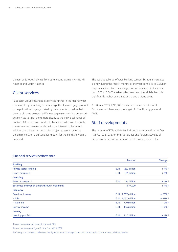the rest of Europe and 45% from other countries, mainly in North America and South America.

#### Client services

Rabobank Group expanded its services further in the first half year, for example by launching Generatiehypotheek, a mortgage product to help first-time buyers, assisted by their parents, to realise their dreams of home ownership. We also began streamlining our securities services to tailor them more clearly to the individual needs of our 650,000 private investor clients. For clients who invest actively, the service has been expanded with the internet broker Alex. In addition, we initiated a special pilot project to test a speaking Chipknip (electronic purse) loading point for the blind and visually impaired.

The average take-up of retail banking services by adults increased slightly during the first six months of the year from 2.48 to 2.51. For corporate clients, too, the average take-up increased, in their case from 3.05 to 3.06. The take-up by members of local Rabobanks is significantly higher, being 3.60 at the end of June 2003.

At 30 June 2003, 1,241,000 clients were members of a local Rabobank, which exceeds the target of 1.2 million by year-end 2003.

#### Staff developments

The number of FTEs at Rabobank Group shrank by 629 in the first half year to 51,238. For the subsidiaries and foreign activities of Rabobank Nederland, acquisitions led to an increase in FTEs.

#### Financial services performance

|                                                  |                   | Amount        | Change                 |
|--------------------------------------------------|-------------------|---------------|------------------------|
| <b>Banking</b>                                   |                   |               |                        |
| Private sector lending                           | <b>EUR</b>        | 222 billion   | $+4\%$ <sup>1)</sup>   |
| <b>Funds entrusted</b>                           | <b>EUR</b>        | 181 billion   | $+5%$ <sup>1)</sup>    |
| <b>Investing</b>                                 |                   |               |                        |
| Assets managed <sup>3)</sup>                     | <b>EUR</b>        | 175 billion   | $+4\%$ <sup>1)</sup>   |
| Securities and option orders through local banks |                   | 877,000       | $+4\%$ <sup>2)</sup>   |
| <b>Insurance</b>                                 |                   |               |                        |
| Premium income                                   | EUR 2,357 million |               | $+25\%$ <sup>2)</sup>  |
| - Life                                           | <b>EUR</b>        | 1,637 million | $+31\%$ <sup>2)</sup>  |
| - Non-life                                       | <b>EUR</b>        | 720 million   | $+ 12\%$ <sup>2)</sup> |
| Service income                                   | <b>EUR</b>        | 136 million   | $+17\%$ <sup>2)</sup>  |
| <b>Leasing</b>                                   |                   |               |                        |
| Lending portfolio                                | <b>EUR</b>        | 11.5 billion  | $+4\%$ <sup>1)</sup>   |

1) As a percentage of figure at year-end 2002

2) As a percentage of figure for the first half of 2002

3) Owing to a change in definition, the figure for assets managed does not correspond to the amounts published earlier.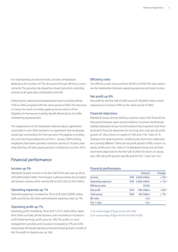For retail banking and the domestic activities of Rabobank Nederland, the number of FTEs decreased through efficiency improvements. The growing role played by virtual channels in providing services of all types also contributed to this fall.

Following the national trend, absenteeism due to sickness fell by 0.7% to 4.4% compared with the same period of 2002. This decrease is mainly the result of actively applying the provisions of the Eligibility for Permanent Invalidity Benefit (Restrictions) Act (Wet verbetering poortwachter).

The negotiations on the Rabobank collective labour agreement concluded in June 2003 resulted in an agreement that employees would pay contributions for their pensions. This applies to employees commencing employment as from 1 January 2004. Existing employees have been granted a transition period of 10 years, meaning that they will start paying pension contributions as from 2014.

#### Financial performance

#### Income up 3%

Rabobank Group's income in the first half of the year was up 3% at EUR 4,493 (4,362) million.The increase is almost entirely due to higher net interest income, which rose by 8% to EUR 2,952 (2,742) million.

#### Operating expenses up 1%

Operating expenses increased by 1% to EUR 2,920 (2,899) million. Staff costs fell by 2%. Other administrative expenses were up 7%.

#### Operating profit up 7%

Operating profit climbed by 7% to EUR 1,573 (1,463) million. Apart from Other activities, all the business units recorded an increase in profit. Retail banking's profit grew by 16%. The profits on asset management activities and insurance increased by 57% and 20% respectively. Wholesale banking achieved limited growth in profit of 4%. The profit on leasing was up 16%.

#### Efficiency ratio

The efficiency ratio improved from 66.5% to 65.0%. This ratio expresses the relationship between operating expenses and total income.

#### Net profit up 8%

Net profit for the first half of 2003 was EUR 748 (695) million, which represents an increase of 8% on the same period of 2002.

#### Financial objectives

Rabobank Group aims at realising customer value, with financial stability and employee value as preconditions. To ensure this financial stability, Rabobank Group has formulated three long-term and three short-term financial objectives. For the long term, they are net profit growth of 12%, a return on equity of 10% and a Tier I ratio of 10. Owing to the weak economic conditions, the short-term objectives are currently different. These are net profit growth of 8%, a return on equity of 8% and a Tier I ratio of 10. Rabobank Group met all three short-term objectives for the first half of 2003: the return on equity was 10%, net profit growth was 8% and the Tier 1 ratio was 10.2.

#### Financial performance

|                           |            | Amount            | Change                |
|---------------------------|------------|-------------------|-----------------------|
| Income                    |            | EUR 4,493 million | $+3\%$ <sup>2)</sup>  |
| <b>Operating expenses</b> |            | EUR 2,920 million | $+ 1\%$ <sup>2)</sup> |
| <b>Efficiency ratio</b>   |            | 65.0%             |                       |
| Net profit                | <b>EUR</b> | 748 million       | $+8\%$ <sup>2)</sup>  |
| <b>Total assets</b>       | <b>EUR</b> | 402 billion       | $+7\%$ <sup>1)</sup>  |
| <b>BIS ratio</b>          |            | 10.3              |                       |
| Tier 1 ratio              |            | 10.2              |                       |

1) As a percentage of figure at year-end 2002

2) As a percentage of figure for the first half of 2002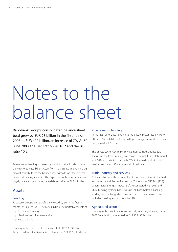# Notes to the balance sheet

Rabobank Group's consolidated balance sheet total grew by EUR 28 billion in the first half of 2003 to EUR 402 billion, an increase of 7%. At 30 June 2003, the Tier I ratio was 10.2 and the BIS ratio 10.3.

Private sector lending increased by 4% during the first six months of the year to EUR 222 billion. Apart from the increase in lending, a significant contributor to the balance sheet growth was the increase in interest-bearing securities. The expansion in these activities was largely financed by an increase in debt securities of EUR 15 billion.

#### Assets

#### Lending

Rabobank Group's loan portfolio increased by 5% in the first six months of 2003 to EUR 237.2 (225.3) billion.The portfolio consists of:

- public sector lending;
- professional securities transactions;
- private sector lending.

Lending to the public sector increased to EUR 2.0 (0.8) billion. Professional securities transactions climbed to EUR 13.5 (12.1) billion.

#### Private sector lending

In the first half of 2003, lending to the private sector rose by 4% to EUR 221.7 (212.3) billion.The growth percentage was under pressure from a weaker US dollar.

The private sector comprises private individuals, the agricultural sector and the trade, industry and services sector. Of the total amount lent, 50% is to private individuals, 35% to the trade, industry and services sector, and 15% to the agricultural sector.

#### Trade, industry and services

At the end of June, the amount lent to corporate clients in the trade and industry and the services sector (TIS) stood at EUR 78.1 (75.8) billion, representing an increase of 3% compared with year-end 2002. Lending by local banks was up 3%. For wholesale banking, lending was unchanged on balance. For the other business units, including leasing, lending grew by 11%.

#### Agricultural sector

Lending to the private sector was virtually unchanged from year-end 2002. Total lending amounted to EUR 33.7 (33.4) billion.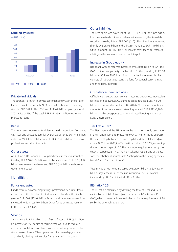#### **Lending by sector**

(in EUR billion)



#### Private individuals

The strongest growth in private sector lending was in the form of loans to private individuals. At 30 June 2003, their net borrowing stood at EUR 109.9 billion. This was EUR 6.9 billion up on year-end 2002, a rise of 7%. Of the total, EUR 106.2 (99.8) billion relates to mortgage loans.

#### Banks

The item banks represents funds lent to credit institutions. Compared with year-end 2002, this item fell by EUR 2.8 billion to EUR 44.5 billion, a drop of 6%. Of the total amount, EUR 30.2 (40.1) billion concerns professional securities transactions.

#### Other assets

At 30 June 2003, Rabobank Group had interest-bearing securities totalling EUR 82.8 (71.3) billion on its balance sheet. EUR 13.6 (11.1) billion was invested in shares and EUR 2.6 (1.8) billion in short-term government paper.

#### Liabilities

#### Funds entrusted

Funds entrusted, comprising savings, professional securities transactions and other funds entrusted, increased by 5% in the first half year to EUR 180.9 (171.6) billion. Professional securities transactions increased to EUR 10.5 (6.0) billion. Other funds entrusted rose to EUR 101.3 (99.3) billion.

#### Savings

Savings rose EUR 2.8 billion in the first half year to EUR 69.1 billion, an increase of 4%. The size of this increase was due to reduced consumer confidence combined with a persistently unfavourable stock market climate. Clients prefer security these days, and are accordingly placing their surplus funds in a savings account.

#### Other liabilities

The item banks was down 1% at EUR 84.9 (85.9) billion. Once again, funds were raised on the capital market. As a result, the item debt securities grew by 24% to EUR 76.5 (61.7) billion. Provisions increased slightly by EUR 0.6 billion in the first six months to EUR 18.9 billion. Of this amount, EUR 16.1 (15.4) billion concerns technical reserves relating to the insurance business of Interpolis.

#### Increase in Group equity

Rabobank Group's reserves increased by EUR 0.6 billion to EUR 15.5 (14.9) billion. Group equity rose by EUR 0.8 billion, totalling EUR 22.0 billion at 30 June 2003. In addition to the bank's reserves, this item consists of subordinated loans, the fund for general banking risks and third-party interests.

#### Off-balance-sheet activities

Off-balance-sheet activities concern, inter alia, guarantees, irrevocable facilities and derivatives. Guarantees issued totalled EUR 7.4 (7.7) billion and irrevocable facilities EUR 28.6 (27.2) billion. The notional amounts of the derivatives outstanding totalled EUR 1,912 (1,700) billion, which corresponds to a net weighted lending amount of EUR 3.2 (3.1) billion.

#### Tier I ratio: 10.2

The Tier I ratio and the BIS ratio are the most commonly used ratios in the financial world to measure solvency. The Tier I ratio expresses the relationship between the core capital and the total risk-adjusted assets. At 30 June 2003, the Tier I ratio stood at 10.2 (10.3), exceeding the long-term target of 10.0. The minimum requirement set by the external supervisors is 4.0. The high solvency ratio is one of the reasons for Rabobank Group's triple A rating from the rating agencies Moody's and Standard & Poor's.

Total risk-adjusted items increased by EUR 9.1 billion to EUR 175.0 billion, largely the result of the rise in lending. The Tier I capital increased by EUR 0.7 billion to EUR 17.8 billion.

#### BIS-ratio: 10.3

The BIS ratio is calculated by dividing the total of Tier I and Tier II capital by the total of risk-adjusted assets. The BIS ratio was 10.3 (10.5), which comfortably exceeds the minimum requirement of 8.0 set by the external supervisors.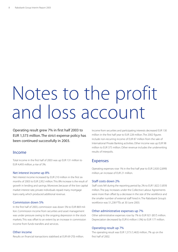# Notes to the profit and loss account

Operating result grew 7% in first half 2003 to EUR 1,573 million. The strict expense policy has been continued successfully in 2003.

#### Income

Total income in the first half of 2003 was up EUR 131 million to EUR 4,493 million, a rise of 3%.

#### Net interest income up 8%

Net interest income increased by EUR 210 million in the first six months of 2003 to EUR 2,952 million.This 8% increase is the result of growth in lending and savings. Moreover, because of the low capital market interest rate, private individuals repaid many mortgage loans early, which produced additional revenue.

#### Commission down 5%

In the first half of 2003, commission was down 5% to EUR 869 million. Commission income from securities and asset management was under pressure owing to the ongoing depression in the stock markets. This was offset to an extent by an increase in commission income from funds transfers and services.

#### Other income

Results on financial transactions stabilised at EUR 69 (70) million.

Income from securities and participating interests decreased EUR 130 million in the first half year to EUR 228 million. The 2002 figures include non-recurring income of EUR 87 million from the sale of International Private Banking activities. Other income was up EUR 98 million to EUR 375 million. Other revenue includes the underwriting results of Interpolis.

#### Expenses

Operating expenses rose 1% in the first half year to EUR 2,920 (2,899) million, an increase of EUR 21 million.

#### Staff costs down 2%

Staff costs fell during the reporting period by 2% to EUR 1,822 (1,859) million. The pay increases under the Collective Labour Agreements were more than offset by a decrease in the size of the workforce and the smaller number of external staff hired in. The Rabobank Group's workforce was 51,238 FTEs at 30 June 2003.

#### Other administrative expenses up 7%

Other administrative expenses rose by 7% to EUR 921 (857) million. Depreciation decreased by EUR 6 million (-3%) to EUR 177 million.

#### Operating result up 7%

The operating result was EUR 1,573 (1,463) million, 7% up on the first half of 2002.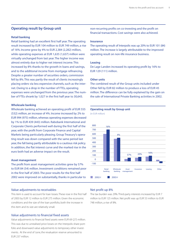#### **Operating result by Group unit**

#### **Retail banking**

Retail banking had an excellent first half year. The operating result increased by EUR 104 million to EUR 749 million, a rise of 16%. Income grew by 4% to EUR 2,384 (2,282) million, while operating expenses at EUR 1,635 (1,637) million were virtually unchanged from last year. The higher income was almost entirely due to higher net interest income. This increased by 8% thanks to the growth in loans and savings, and to the additional income from mortgage refinancing. Despite a greater number of securities orders, commission fell by 8%. This was partly the result of clients increasingly placing orders via less expensive channels, such as the internet. Owing to a drop in the number of FTEs, operating expenses were unchanged from the previous year. The number of FTEs shrank by 1,027 in the first half year to 30,643.

#### **Wholesale banking**

Wholesale banking achieved an operating profit of EUR 555 (532) million, an increase of 4%. Income increased by 2% to EUR 994 (975) million, whereas operating expenses decreased by 1% to EUR 439 (443) million. Rabobank International and Corporate Clients performed well during the first half of the year, with the profit from Corporate Finance and Capital Markets being particularly pleasing. Group Treasury's operating result was down compared with the same period last year, the fall being partly attributable to a cautious risk policy. In addition, the flat interest curve and the marked rise in the euro both had an adverse impact on the result.

#### **Asset management**

The profit from asset management activities grew by 57% to EUR 84 (54) million. Investment conditions remained poor in the first half of 2003. The poor results for the first half 2002 were improved on substantially, thanks in particular to

#### Value adjustments to receivables

This item is used to account for loan losses.These rose in the first half of 2003 by EUR 12 million to EUR 275 million. Given the economic conditions and the size of the loan portfolio, both the increase in this item and its size are relatively small.

#### Value adjustments to financial fixed assets

Value adjustments to financial fixed assets were EUR 69 (27) million. This was due to unrealised price losses on the Interpolis share portfolio and downward value adjustments to temporary other investments. At the end of June, the revaluation reserve amounted to EUR 237 million.

non-recurring profits on co-investing and the profit on financial transactions. Cost savings were also achieved.

#### **Insurance**

The operating result of Interpolis was up 20% to EUR 101 (84) million. The increase is largely attributable to the improved operating result on non-life insurance business.

#### **Leasing**

De Lage Landen increased its operating profit by 16% to EUR 129 (111) million.

#### **Other units**

The combined result of the Group units included under Other fell by EUR 82 million to produce a loss of EUR 45 million. The difference can be fully explained by the gain on the sale of International Private Banking activities in 2002.

#### **Operating result by Group unit**

(in EUR million)



#### Net profit up 8%

The tax burden was 29%. Third-party interests increased by EUR 7 million to EUR 125 million. Net profit was up EUR 53 million to EUR 748 million, a rise of 8%.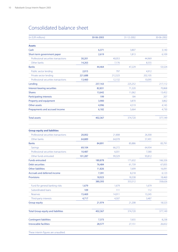### Consolidated balance sheet

| (in EUR millions)                    |         | 30-06-2003 |         | 31-12-2002 |         | 30-06-2002 |
|--------------------------------------|---------|------------|---------|------------|---------|------------|
| <b>Assets</b>                        |         |            |         |            |         |            |
| Cash                                 |         | 6,371      |         | 3,807      |         | 3,140      |
| Short-term government paper          |         | 2,619      |         | 1,813      |         | 6,109      |
| Professional securities transactions | 30,201  |            | 40,053  |            | 44,969  |            |
| Other banks                          | 14,263  |            | 7,176   |            | 8,555   |            |
| <b>Banks</b>                         |         | 44,464     |         | 47,229     |         | 53,524     |
| Public sector lending                | 2,015   |            | 797     |            | 4,912   |            |
| Private sector lending               | 221,688 |            | 212,323 |            | 202,105 |            |
| Professional securities transactions | 13,460  |            | 12,132  |            | 10,095  |            |
| Lending                              |         | 237,163    |         | 225,252    |         | 217,112    |
| Interest-bearing securities          |         | 82,831     |         | 71,320     |         | 70,868     |
| <b>Shares</b>                        |         | 13,642     |         | 11,062     |         | 13,452     |
| <b>Participating interests</b>       |         | 199        |         | 184        |         | 207        |
| Property and equipment               |         | 3,900      |         | 3,870      |         | 3,862      |
| Other assets                         |         | 4,996      |         | 4,519      |         | 4,145      |
| Prepayments and accrued income       |         | 6,182      |         | 5,664      |         | 4,730      |
| <b>Total assets</b>                  |         | 402,367    |         | 374,720    |         | 377,149    |

| <b>Group equity and liabilities</b>       |         |         |        |         |        |         |
|-------------------------------------------|---------|---------|--------|---------|--------|---------|
| Professional securities transactions      | 20,002  |         | 21,808 |         | 26,300 |         |
| Other banks                               | 64,889  |         | 64,078 |         | 57,491 |         |
| <b>Banks</b>                              |         | 84,891  |        | 85,886  |        | 83,791  |
| Savings                                   | 69,104  |         | 66,272 |         | 64,934 |         |
| Professional securities transactions      | 10,487  |         | 6,031  |         | 7,580  |         |
| Other funds entrusted                     | 101,287 |         | 99,329 |         | 93,812 |         |
| <b>Funds entrusted</b>                    |         | 180,878 |        | 171,632 |        | 166,326 |
| <b>Debt securities</b>                    |         | 76,484  |        | 61,739  |        | 67,835  |
| <b>Other liabilities</b>                  |         | 11,826  |        | 7,699   |        | 16,091  |
| Accruals and deferred income              |         | 7,391   |        | 8,218   |        | 6,123   |
| <b>Provisions</b>                         |         | 18,923  |        | 18,338  |        | 18,460  |
|                                           |         | 380,393 |        | 353,512 |        | 358,626 |
| Fund for general banking risks            | 1,679   |         | 1,679  |         | 1,679  |         |
| Subordinated loans                        | 109     |         | 111    |         | 112    |         |
| Reserves                                  | 15,469  |         | 14,911 |         | 13,245 |         |
| Third-party interests                     | 4,717   |         | 4,507  |         | 3,487  |         |
| <b>Group equity</b>                       |         | 21,974  |        | 21,208  |        | 18,523  |
| <b>Total Group equity and liabilities</b> |         | 402,367 |        | 374,720 |        | 377,149 |
| <b>Contingent liabilities</b>             |         | 7,373   |        | 7,655   |        | 8,238   |
| <b>Irrevocable facilities</b>             |         | 28,577  |        | 27,151  |        | 26,652  |

These interim figures are unaudited.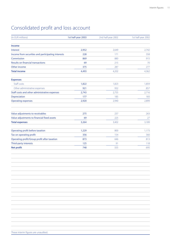### Consolidated profit and loss account

| (in EUR millions)                                  | 1st half-year 2003 | 2nd half-year 2002 | 1st half-year 2002 |
|----------------------------------------------------|--------------------|--------------------|--------------------|
| <b>Income</b>                                      |                    |                    |                    |
| Interest                                           | 2,952              | 2,649              | 2,742              |
| Income from securities and participating interests | 228                | 171                | 358                |
| Commission                                         | 869                | 880                | 915                |
| <b>Results on financial transactions</b>           | 69                 | 215                | 70                 |
| Other income                                       | 375                | 287                | 277                |
| <b>Total income</b>                                | 4,493              | 4,202              | 4,362              |
| <b>Expenses</b>                                    |                    |                    |                    |
| Staff costs                                        | 1,822              | 1,823              | 1,859              |
| Other administrative expenses                      | 921                | 932                | 857                |
| Staff costs and other administrative expenses      | 2,743              | 2,755              | 2,716              |
| Depreciation                                       | 177                | 185                | 183                |
| <b>Operating expenses</b>                          | 2,920              | 2,940              | 2,899              |
| Value adjustments to receivables                   | 275                | 237                | 263                |
| Value adjustments to financial fixed assets        | 69                 | 225                | 27                 |
| <b>Total expenses</b>                              | 3,264              | 3,402              | 3,189              |
| Operating profit before taxation                   | 1,229              | 800                | 1,173              |
| Tax on operating profit                            | 356                | 154                | 360                |
| Operating profit/Group profit after taxation       | 873                | 646                | 813                |
| Third-party interests                              | 125                | 91                 | 118                |
| <b>Net profit</b>                                  | 748                | 555                | 695                |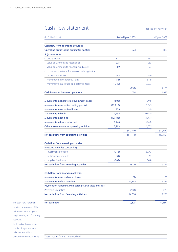### Cash flow statement (for the first half year)

| <b>Cash flow from operating activities</b><br>Operating profit/Group profit after taxation<br>Adjustments for:<br>depreciation<br>value adjustments to receivables<br>value adjustments to financial fixed assets<br>movements in technical reserves relating to the<br>insurance business<br>movements in other provisions<br>movements in accrued and deferred items | 177<br>275<br>69<br>643<br>(58)<br>(1, 345)<br>(806)<br>(12, 813) | 873<br>(239)<br>634 | 183<br>263<br>27<br>466<br>(342)<br>3,573 |                       |
|------------------------------------------------------------------------------------------------------------------------------------------------------------------------------------------------------------------------------------------------------------------------------------------------------------------------------------------------------------------------|-------------------------------------------------------------------|---------------------|-------------------------------------------|-----------------------|
|                                                                                                                                                                                                                                                                                                                                                                        |                                                                   |                     |                                           | 813<br>4,170<br>4,983 |
|                                                                                                                                                                                                                                                                                                                                                                        |                                                                   |                     |                                           |                       |
| Cash flow from business operations<br>Movements in short-term government paper<br>Movements in securities trading portfolio<br>Movements in securitised loans<br>Movements in banks<br>Movements in lending                                                                                                                                                            |                                                                   |                     |                                           |                       |
|                                                                                                                                                                                                                                                                                                                                                                        |                                                                   |                     |                                           |                       |
|                                                                                                                                                                                                                                                                                                                                                                        |                                                                   |                     |                                           |                       |
|                                                                                                                                                                                                                                                                                                                                                                        |                                                                   |                     |                                           |                       |
|                                                                                                                                                                                                                                                                                                                                                                        |                                                                   |                     |                                           |                       |
|                                                                                                                                                                                                                                                                                                                                                                        |                                                                   |                     |                                           |                       |
|                                                                                                                                                                                                                                                                                                                                                                        |                                                                   |                     |                                           |                       |
|                                                                                                                                                                                                                                                                                                                                                                        |                                                                   |                     |                                           |                       |
|                                                                                                                                                                                                                                                                                                                                                                        |                                                                   |                     |                                           |                       |
|                                                                                                                                                                                                                                                                                                                                                                        |                                                                   |                     |                                           |                       |
|                                                                                                                                                                                                                                                                                                                                                                        |                                                                   |                     | (798)                                     |                       |
|                                                                                                                                                                                                                                                                                                                                                                        |                                                                   |                     | 1,845                                     |                       |
|                                                                                                                                                                                                                                                                                                                                                                        | 379                                                               |                     | (30)                                      |                       |
|                                                                                                                                                                                                                                                                                                                                                                        | 1,732                                                             |                     | (10,459)                                  |                       |
|                                                                                                                                                                                                                                                                                                                                                                        | (12, 186)                                                         |                     | (8,761)                                   |                       |
| Movements in funds entrusted                                                                                                                                                                                                                                                                                                                                           | 9,246                                                             |                     | (5,848)                                   |                       |
| Other movements from operating activities                                                                                                                                                                                                                                                                                                                              | 2,703                                                             |                     | 1,655                                     |                       |
|                                                                                                                                                                                                                                                                                                                                                                        |                                                                   | (11, 745)           |                                           | (22, 396)             |
| <b>Cash flow from investing activities</b><br>Investing activities concerning:                                                                                                                                                                                                                                                                                         |                                                                   |                     |                                           |                       |
| investment portfolio                                                                                                                                                                                                                                                                                                                                                   | (716)                                                             |                     | 6,943                                     |                       |
| participating interests                                                                                                                                                                                                                                                                                                                                                | (51)                                                              |                     | 62                                        |                       |
|                                                                                                                                                                                                                                                                                                                                                                        | (207)                                                             |                     | (264)                                     |                       |
|                                                                                                                                                                                                                                                                                                                                                                        |                                                                   | (974)               |                                           | 6,741                 |
| tangible fixed assets                                                                                                                                                                                                                                                                                                                                                  |                                                                   |                     |                                           |                       |
|                                                                                                                                                                                                                                                                                                                                                                        |                                                                   |                     |                                           |                       |
|                                                                                                                                                                                                                                                                                                                                                                        |                                                                   | (2)                 |                                           | 60                    |
| Movements in debt securities                                                                                                                                                                                                                                                                                                                                           |                                                                   | 14,745              |                                           |                       |
|                                                                                                                                                                                                                                                                                                                                                                        |                                                                   |                     |                                           | 9,321                 |
|                                                                                                                                                                                                                                                                                                                                                                        |                                                                   | (133)               |                                           | (95)                  |
| Net cash flow from investing activities<br><b>Cash flow from financing activities</b><br>Movements in subordinated loans<br>Payment on Rabobank Membership Certificates and Trust<br><b>Preferred Securities</b><br>Net cash flow from financing activities                                                                                                            |                                                                   | 14,610              |                                           | 9,286                 |

The cash flow statement provides a summary of the net movements in operating, investing and financing activities. Cash and cash equivalents consist of legal tender and balances available on

demand with central banks.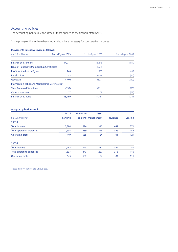#### Accounting policies

The accounting policies are the same as those applied to the financial statements.

Some prior-year figures have been reclassified where necessary for comparative purposes.

#### **Movements in reserves were as follows:**

| (in EUR millions)                                | 1st half-year 2003 | 2nd half-year 2002 | 1st half-year 2002 |
|--------------------------------------------------|--------------------|--------------------|--------------------|
|                                                  |                    |                    |                    |
| Balance at 1 January                             | 14,911             | 13,245             | 13,030             |
| <b>Issue of Rabobank Membership Certificates</b> |                    | 1,575              |                    |
| Profit for the first half year                   | 748                | 555                | 695                |
| Revaluation                                      | 33                 | (136)              | (17)               |
| Goodwill                                         | (107)              | (325)              | (310)              |
| Payment on Rabobank Membership Certificates/     |                    |                    |                    |
| <b>Trust Preferred Securities</b>                | (133)              | (111)              | (95)               |
| Other movements                                  | 17                 | 108                | (58)               |
| Balance at 30 June                               | 15,469             | 14.911             | 13.245             |

#### **Analysis by business unit:**

| Retail  | Wholesale | Asset |                    | Leasing |
|---------|-----------|-------|--------------------|---------|
| banking |           |       | <b>Insurance</b>   |         |
|         |           |       |                    |         |
| 2,384   | 994       | 310   | 447                | 271     |
| 1,635   | 439       | 226   | 346                | 142     |
| 749     | 555       | 84    | 101                | 129     |
|         |           |       |                    |         |
| 2,282   | 975       | 281   | 399                | 251     |
| 1,637   | 443       | 227   | 315                | 140     |
| 645     | 532       | 54    | 84                 | 111     |
|         |           |       | banking management |         |

These interim figures are unaudited.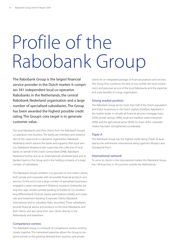# Profile of the Rabobank Group

The Rabobank Group is the largest financial service provider in the Dutch market. It comprises 341 independent local co-operative Rabobanks in the Netherlands, the central Rabobank Nederland organisation and a large number of specialised subsidiaries. The Group has been awarded the highest possible credit rating. The Group's core target is to generate customer value.

The local Rabobanks and their clients form the Rabobank Group's co-operative core business. The banks are members and shareholders of the supra-local co-operative organisation, Rabobank Nederland, which advises the banks and supports their local services. Rabobank Nederland also supervises the collective of local banks on behalf of the Dutch Central Bank (DNB). Rabobank Nederland further acts as an (international) wholesale bank and as bankers' bank to the Group and is the holding company of a large number of subsidiaries.

The Rabobank Group's ambition is to provide its nine million clients, both private and corporate, with all possible financial products and services. To this end, it has a large number of specialised businesses engaged in asset management (Robeco), insurance (Interpolis), leasing (De Lage Landen), private banking (Schretlen & Co), stockbroking (Effectenbank Stroeve), equity participations (Gilde) and corporate and investment banking (Corporate Clients, Rabobank International and its subsidiary Rabo Securities). These subsidiaries provide financial advice and products to the local Rabobanks and their clients, and also serve their own clients directly, in the Netherlands and elsewhere.

#### Competence centres

The Rabobank Group is a network of competence centres working closely together. This networked expertise allows the Group to respond actively to the growing demand from business and private

clients for an integrated package of financial products and services. The Group thus combines the best of two worlds: the local involvement and personal service of the local Rabobanks and the expertise and scale benefits of a large organisation.

#### Strong market position

The Rabobank Group serves more than half of the Dutch population and Dutch businesses. In the Dutch market, therefore, Rabobank is the market leader in virtually all financial services: mortgage loans (25%), private savings (38%), small and medium-sized enterprises (39%) and the agricultural sector (83%). Its share of the corporate market has been strengthened considerably.

#### Triple A

The Rabobank Group has the highest credit rating (Triple A) awarded by the well-known international rating agencies Moody's and Standard & Poor's.

#### International network

To serve its clients in the international market, the Rabobank Group has 194 branches in 34 countries outside the Netherlands.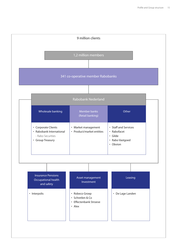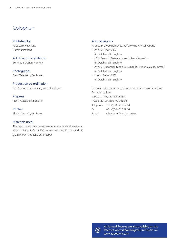### Colophon

#### Published by

Rabobank Nederland Communications

#### Art direction and design

Borghouts Design, Haarlem

Photographs Frank Tielemans, Eindhoven

#### Production co-ordination

GPR CommunicatieManagement, Eindhoven

#### Prepress

PlantijnCasparie, Eindhoven

#### **Printers**

PlantijnCasparie, Eindhoven

#### Materials used

This report was printed using environmentally friendly materials. Mineral oil-free Reflecta ECO ink was used on 250 gram and 135 gram PhoeniXmotion Xantur paper.

#### Annual Reports

Rabobank Group publishes the following Annual Reports:

- Annual Report 2002 (in Dutch and in English)
- 2002 Financial Statements and other information (in Dutch and in English)
- Annual Responsibility and Sustainability Report 2002 (summary) (in Dutch and in English)
- Interim Report 2003 (in Dutch and in English)

For copies of these reports please contact Rabobank Nederland, Communications. Croeselaan 18, 3521 CB Utrecht P.O. Box 17100, 3500 HG Utrecht Telephone +31 (0)30 - 216 27 58 Fax +31 (0)30 - 216 19 16 E-mail rabocomm@rn.rabobank.nl



All Annual Reports are also available on the<br> **@** Internet: www.rabobankgroep.nl/reports or<br>
www.rabobank.com Internet: www.rabobankgroep.nl/reports or www.rabobank.com